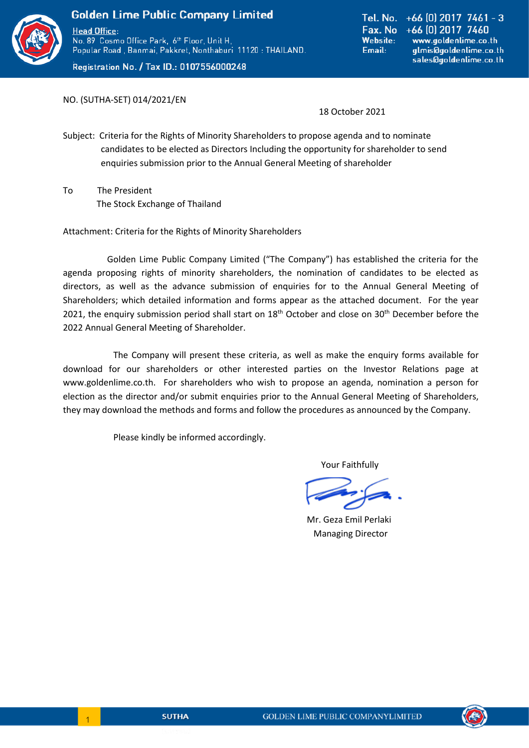

No. 89 Cosmo Office Park, 6th Floor, Unit H, Popular Road, Banmai, Pakkret, Nonthaburi 11120 : THAILAND.

Registration No. / Tax ID.: 0107556000248

Tel. No.  $+66$  (0) 2017 7461 - 3 Fax. No +66 [0] 2017 7460 **Website:** www.goldenlime.co.th Email: glmis@goldenlime.co.th sales@goldenlime.co.th

NO. (SUTHA-SET) 014/2021/EN

18 October 2021

Subject: Criteria for the Rights of Minority Shareholders to propose agenda and to nominate candidates to be elected as Directors Including the opportunity for shareholder to send enquiries submission prior to the Annual General Meeting of shareholder

To The President The Stock Exchange of Thailand

Attachment: Criteria for the Rights of Minority Shareholders

Golden Lime Public Company Limited ("The Company") has established the criteria for the agenda proposing rights of minority shareholders, the nomination of candidates to be elected as directors, as well as the advance submission of enquiries for to the Annual General Meeting of Shareholders; which detailed information and forms appear as the attached document. For the year 2021, the enquiry submission period shall start on  $18<sup>th</sup>$  October and close on  $30<sup>th</sup>$  December before the 2022 Annual General Meeting of Shareholder.

The Company will present these criteria, as well as make the enquiry forms available for download for our shareholders or other interested parties on the Investor Relations page at www.goldenlime.co.th. For shareholders who wish to propose an agenda, nomination a person for election as the director and/or submit enquiries prior to the Annual General Meeting of Shareholders, they may download the methods and forms and follow the procedures as announced by the Company.

Please kindly be informed accordingly.

Your Faithfully

 Mr. Geza Emil Perlaki Managing Director



l,

 $\begin{array}{|c|c|c|c|c|}\hline \quad & 1 \\ \hline \end{array}$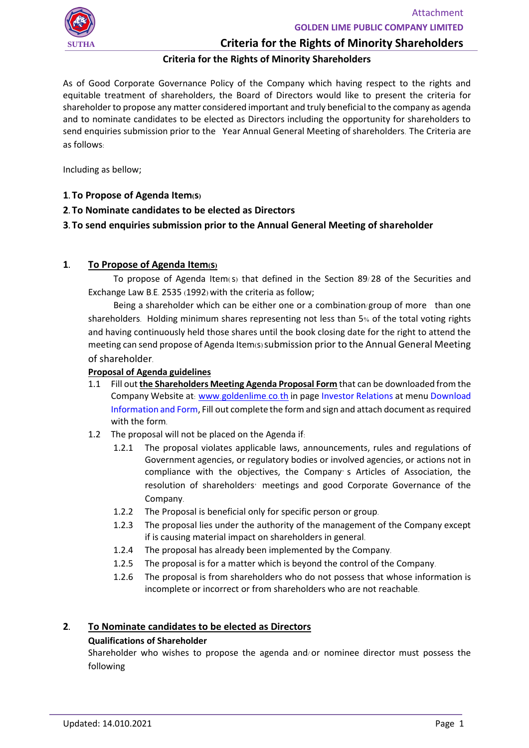

# **Criteria for the Rights of Minority Shareholders**

## **Criteria for the Rights of Minority Shareholders**

As of Good Corporate Governance Policy of the Company which having respect to the rights and equitable treatment of shareholders, the Board of Directors would like to present the criteria for shareholder to propose any matter considered important and truly beneficial to the company as agenda and to nominate candidates to be elected as Directors including the opportunity for shareholders to send enquiries submission prior to the Year Annual General Meeting of shareholders. The Criteria are as follows:

Including as bellow;

- **1. To Propose of Agenda Item(s)**
- **2. To Nominate candidates to be elected as Directors**

## **3. To send enquiries submission prior to the Annual General Meeting of shareholder**

## **1. To Propose of Agenda Item(s)**

To propose of Agenda Item(s) that defined in the Section 89/ 28 of the Securities and Exchange Law B.E. 2535 (1992) with the criteria as follow;

Being a shareholder which can be either one or a combination/group of more than one shareholders. Holding minimum shares representing not less than 5% of the total voting rights and having continuously held those shares until the book closing date for the right to attend the meeting can send propose of Agenda Item(s) submission prior to the Annual General Meeting of shareholder.

### **Proposal of Agenda guidelines**

- 1.1 Fill out **the Shareholders Meeting Agenda Proposal Form** that can be downloaded from the Company Website at: www.[goldenlime](http://www.goldenlime.co.th/).co.th in page Investor Relations at menu Download Information and Form, Fill out complete the form and sign and attach document as required with the form.
- 1.2 The proposal will not be placed on the Agenda if:
	- 1.2.1 The proposal violates applicable laws, announcements, rules and regulations of Government agencies, or regulatory bodies or involved agencies, or actions not in compliance with the objectives, the Company' s Articles of Association, the resolution of shareholders' meetings and good Corporate Governance of the Company.
	- 1.2.2 The Proposal is beneficial only for specific person or group.
	- 1.2.3 The proposal lies under the authority of the management of the Company except if is causing material impact on shareholders in general.
	- 1.2.4 The proposal has already been implemented by the Company.
	- 1.2.5 The proposal is for a matter which is beyond the control of the Company.
	- 1.2.6 The proposal is from shareholders who do not possess that whose information is incomplete or incorrect or from shareholders who are not reachable.

### **2. To Nominate candidates to be elected as Directors**

### **Qualifications of Shareholder**

Shareholder who wishes to propose the agenda and/ or nominee director must possess the following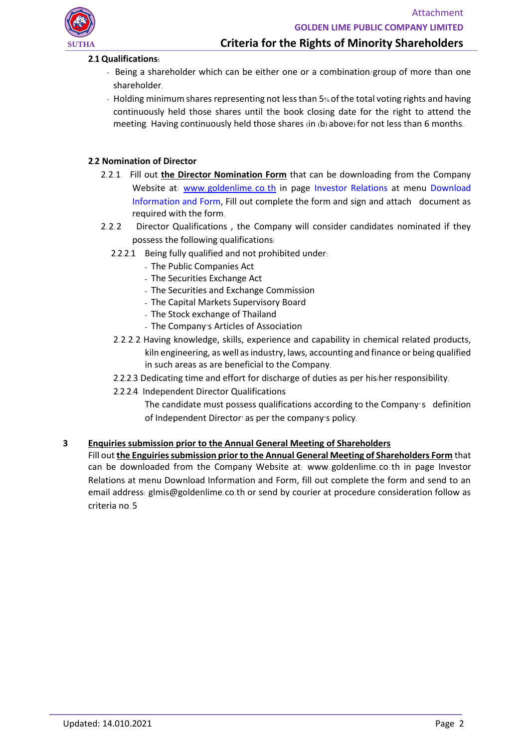

## **2.1Qualifications:**

- Being a shareholder which can be either one or a combination/group of more than one shareholder.
- Holding minimum shares representing not less than 5% of the total voting rights and having continuously held those shares until the book closing date for the right to attend the meeting. Having continuously held those shares (in (b) above) for not less than 6 months.

## **2.2 Nomination of Director**

- 2.2.1 Fill out **the Director Nomination Form** that can be downloading from the Company Website at: www.[goldenlime](http://www.goldenlime.co.th/).co.th in page Investor Relations at menu Download Information and Form, Fill out complete the form and sign and attach document as required with the form.
- 2. 2. 2 Director Qualifications , the Company will consider candidates nominated if they possess the following qualifications:
	- 2.2.2.1 Being fully qualified and not prohibited under:
		- The Public Companies Act
		- The Securities Exchange Act
		- The Securities and Exchange Commission
		- The Capital Markets Supervisory Board
		- The Stock exchange of Thailand
		- The Company's Articles of Association
	- 2.2.2.2 Having knowledge, skills, experience and capability in chemical related products, kiln engineering, as well asindustry, laws, accounting and finance or being qualified in such areas as are beneficial to the Company.
	- 2.2.2.3 Dedicating time and effort for discharge of duties as per his/her responsibility.
	- 2.2.2.4 Independent Director Qualifications
		- The candidate must possess qualifications according to the Company's definition of Independent Director' as per the company's policy.

### **3 Enquiries submission prior to the Annual General Meeting of Shareholders**

Fill out **the Enguiries submission prior to the Annual General Meeting of Shareholders Form** that can be downloaded from the Company Website at: www. goldenlime. co.th in page Investor Relations at menu Download Information and Form, fill out complete the form and send to an email address: glmis@goldenlime.co.th or send by courier at procedure consideration follow as criteria no. 5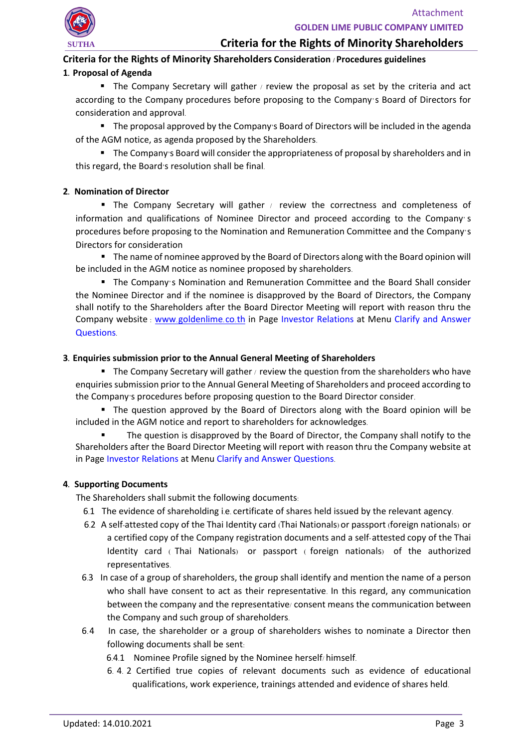# **Criteria for the Rights of Minority Shareholders**

## **Criteria for the Rights of Minority Shareholders Consideration / Procedures guidelines**

## **1. Proposal of Agenda**

■ The Company Secretary will gather / review the proposal as set by the criteria and act according to the Company procedures before proposing to the Company's Board of Directors for consideration and approval.

■ The proposal approved by the Company's Board of Directors will be included in the agenda of the AGM notice, as agenda proposed by the Shareholders.

■ The Company's Board will consider the appropriateness of proposal by shareholders and in this regard, the Board's resolution shall be final.

## **2. Nomination of Director**

■ The Company Secretary will gather / review the correctness and completeness of information and qualifications of Nominee Director and proceed according to the Company's procedures before proposing to the Nomination and Remuneration Committee and the Company's Directors for consideration

■ The name of nominee approved by the Board of Directors along with the Board opinion will be included in the AGM notice as nominee proposed by shareholders.

■ The Company's Nomination and Remuneration Committee and the Board Shall consider the Nominee Director and if the nominee is disapproved by the Board of Directors, the Company shall notify to the Shareholders after the Board Director Meeting will report with reason thru the Company website : www.[goldenlime](http://www.goldenlime.co.th/).co.th in Page Investor Relations at Menu Clarify and Answer Questions.

## **3. Enquiries submission prior to the Annual General Meeting of Shareholders**

**• The Company Secretary will gather / review the question from the shareholders who have** enquiries submission prior to the Annual General Meeting of Shareholders and proceed according to the Company's procedures before proposing question to the Board Director consider.

■ The question approved by the Board of Directors along with the Board opinion will be included in the AGM notice and report to shareholders for acknowledges.

The question is disapproved by the Board of Director, the Company shall notify to the Shareholders after the Board Director Meeting will report with reason thru the Company website at in Page Investor Relations at Menu Clarify and Answer Questions.

### **4. Supporting Documents**

The Shareholders shall submit the following documents:

- 6.1 The evidence of shareholding i.e. certificate of shares held issued by the relevant agency.
- 6.2 A self-attested copy of the Thai Identity card (Thai Nationals) or passport (foreign nationals) or a certified copy of the Company registration documents and a self-attested copy of the Thai Identity card ( Thai Nationals) or passport ( foreign nationals) of the authorized representatives.
- 6.3 In case of a group of shareholders, the group shall identify and mention the name of a person who shall have consent to act as their representative. In this regard, any communication between the company and the representative/ consent means the communication between the Company and such group of shareholders.
- 6.4 In case, the shareholder or a group of shareholders wishes to nominate a Director then following documents shall be sent:
	- 6.4.1 Nominee Profile signed by the Nominee herself/ himself.
	- 6. 4. 2 Certified true copies of relevant documents such as evidence of educational qualifications, work experience, trainings attended and evidence of shares held.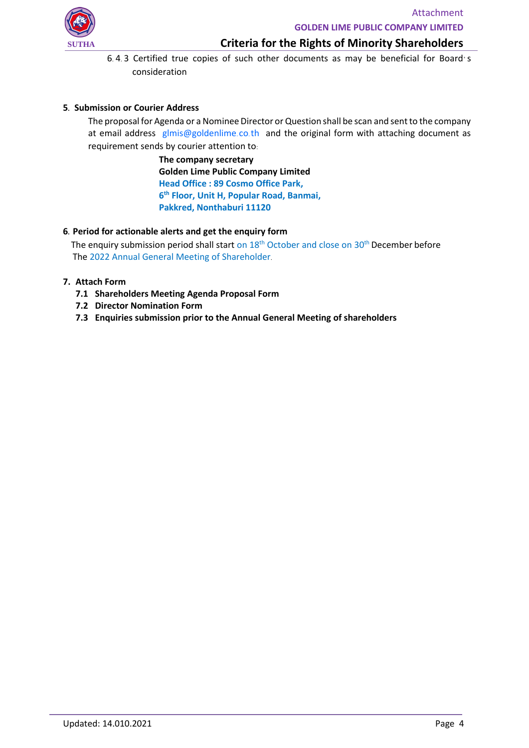

**Criteria for the Rights of Minority Shareholders**

6. 4. 3 Certified true copies of such other documents as may be beneficial for Board's consideration

## **5. Submission or Courier Address**

The proposal for Agenda or a Nominee Director or Question shall be scan and sent to the company at email address glmis@goldenlime.co.th and the original form with attaching document as requirement sends by courier attention to:

> **The company secretary Golden Lime Public Company Limited Head Office : 89 Cosmo Office Park, 6 th Floor, Unit H, Popular Road, Banmai, Pakkred, Nonthaburi 11120**

## **6. Period for actionable alerts and get the enquiry form**

The enquiry submission period shall start on  $18<sup>th</sup>$  October and close on  $30<sup>th</sup>$  December before The 2022 Annual General Meeting of Shareholder.

## **7. Attach Form**

- **7.1 Shareholders Meeting Agenda Proposal Form**
- **7.2 Director Nomination Form**
- **7.3 Enquiries submission prior to the Annual General Meeting of shareholders**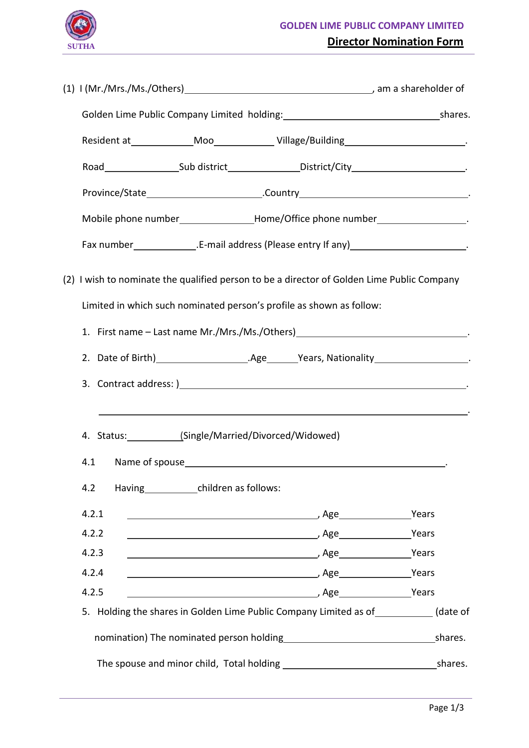

֦

| Resident at ________________Moo_______________Village/Building______________________________.                                                                                                                                                          |  |  |  |  |
|--------------------------------------------------------------------------------------------------------------------------------------------------------------------------------------------------------------------------------------------------------|--|--|--|--|
| Road________________________Sub district__________________District/City_____________________________                                                                                                                                                   |  |  |  |  |
|                                                                                                                                                                                                                                                        |  |  |  |  |
| Mobile phone number_________________Home/Office phone number____________________                                                                                                                                                                       |  |  |  |  |
|                                                                                                                                                                                                                                                        |  |  |  |  |
| (2) I wish to nominate the qualified person to be a director of Golden Lime Public Company<br>Limited in which such nominated person's profile as shown as follow:<br>1. First name - Last name Mr./Mrs./Ms./Others)__________________________________ |  |  |  |  |
|                                                                                                                                                                                                                                                        |  |  |  |  |
| and the control of the control of the control of the control of the control of the control of the control of the                                                                                                                                       |  |  |  |  |
| 4. Status: (Single/Married/Divorced/Widowed)                                                                                                                                                                                                           |  |  |  |  |
| 4.2<br>Having children as follows:                                                                                                                                                                                                                     |  |  |  |  |
| 4.2.1                                                                                                                                                                                                                                                  |  |  |  |  |
| 4.2.2                                                                                                                                                                                                                                                  |  |  |  |  |
| 4.2.3                                                                                                                                                                                                                                                  |  |  |  |  |
| 4.2.4<br>4.2.5                                                                                                                                                                                                                                         |  |  |  |  |
| 5. Holding the shares in Golden Lime Public Company Limited as of __________(date of                                                                                                                                                                   |  |  |  |  |
|                                                                                                                                                                                                                                                        |  |  |  |  |
|                                                                                                                                                                                                                                                        |  |  |  |  |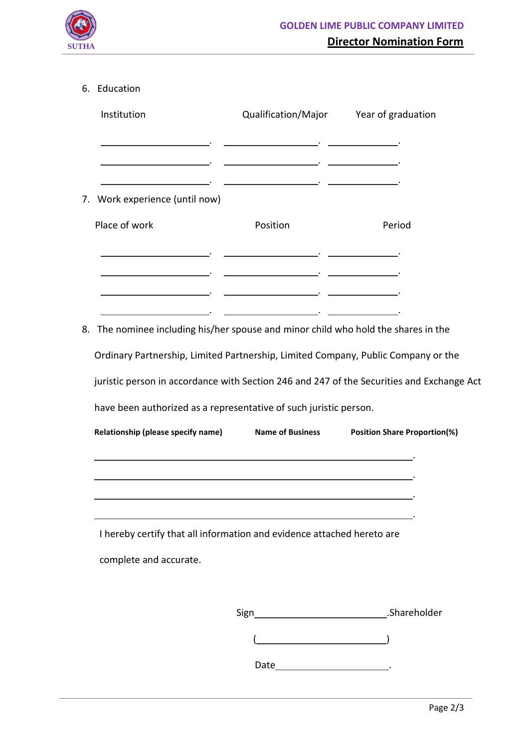

֦

# 6. Education

|    | Institution                 | Qualification/Major Year of graduation                                             |                                                                                           |
|----|-----------------------------|------------------------------------------------------------------------------------|-------------------------------------------------------------------------------------------|
|    |                             | <u> 1989 - Johann John Stone, mars et al. (</u>                                    |                                                                                           |
|    |                             |                                                                                    |                                                                                           |
| 7. | Work experience (until now) |                                                                                    |                                                                                           |
|    | Place of work               | Position                                                                           | Period                                                                                    |
|    |                             | <u> 1989 - Johann John Stone, mars et al. (</u>                                    |                                                                                           |
|    |                             | <u> 1989 - Andrea Stein, Amerikaansk politiker († 1908)</u>                        |                                                                                           |
|    |                             | 8. The nominee including his/her spouse and minor child who hold the shares in the |                                                                                           |
|    |                             | Ordinary Partnership, Limited Partnership, Limited Company, Public Company or the  |                                                                                           |
|    |                             |                                                                                    | juristic person in accordance with Section 246 and 247 of the Securities and Exchange Act |
|    |                             | have been authorized as a representative of such juristic person.                  |                                                                                           |
|    |                             | Relationship (please specify name) Name of Business                                | <b>Position Share Proportion(%)</b>                                                       |
|    |                             |                                                                                    |                                                                                           |
|    |                             |                                                                                    |                                                                                           |
|    |                             | I hereby certify that all information and evidence attached hereto are             |                                                                                           |
|    | complete and accurate.      |                                                                                    |                                                                                           |
|    |                             |                                                                                    |                                                                                           |
|    |                             | Sign_                                                                              | <b>Example 2018</b> Shareholder                                                           |
|    |                             |                                                                                    |                                                                                           |

Date\_\_\_\_\_\_\_\_\_\_\_\_\_\_\_\_\_\_\_\_\_\_\_\_\_\_\_\_\_\_\_\_.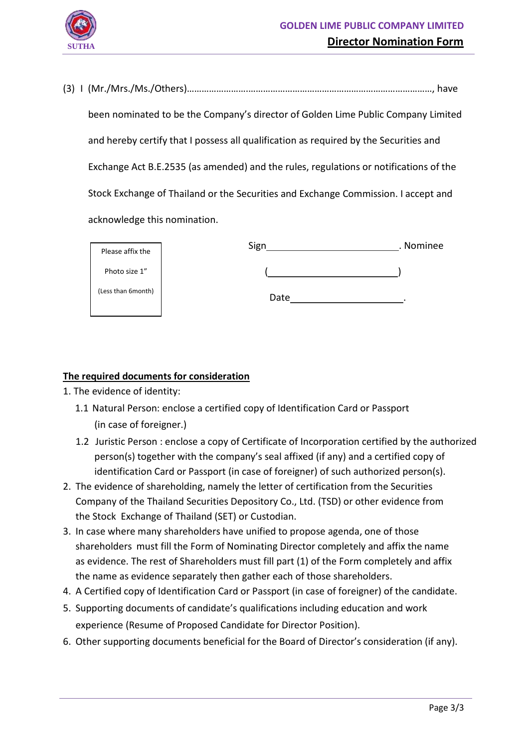

(3) I (Mr./Mrs./Ms./Others)…………………….…………………………………………………………………, have been nominated to be the Company's director of Golden Lime Public Company Limited and hereby certify that I possess all qualification as required by the Securities and Exchange Act B.E.2535 (as amended) and the rules, regulations or notifications of the Stock Exchange of Thailand or the Securities and Exchange Commission. I accept and acknowledge this nomination.

| Please affix the   | Sign | . Nominee |
|--------------------|------|-----------|
| Photo size 1"      |      |           |
| (Less than 6month) | Date |           |

# **The required documents for consideration**

1. The evidence of identity:

֦

- 1.1 Natural Person: enclose a certified copy of Identification Card or Passport (in case of foreigner.)
- 1.2 Juristic Person : enclose a copy of Certificate of Incorporation certified by the authorized person(s) together with the company's seal affixed (if any) and a certified copy of identification Card or Passport (in case of foreigner) of such authorized person(s).
- 2. The evidence of shareholding, namely the letter of certification from the Securities Company of the Thailand Securities Depository Co., Ltd. (TSD) or other evidence from the Stock Exchange of Thailand (SET) or Custodian.
- 3. In case where many shareholders have unified to propose agenda, one of those shareholders must fill the Form of Nominating Director completely and affix the name as evidence. The rest of Shareholders must fill part (1) of the Form completely and affix the name as evidence separately then gather each of those shareholders.
- 4. A Certified copy of Identification Card or Passport (in case of foreigner) of the candidate.
- 5. Supporting documents of candidate's qualifications including education and work experience (Resume of Proposed Candidate for Director Position).
- 6. Other supporting documents beneficial for the Board of Director's consideration (if any).